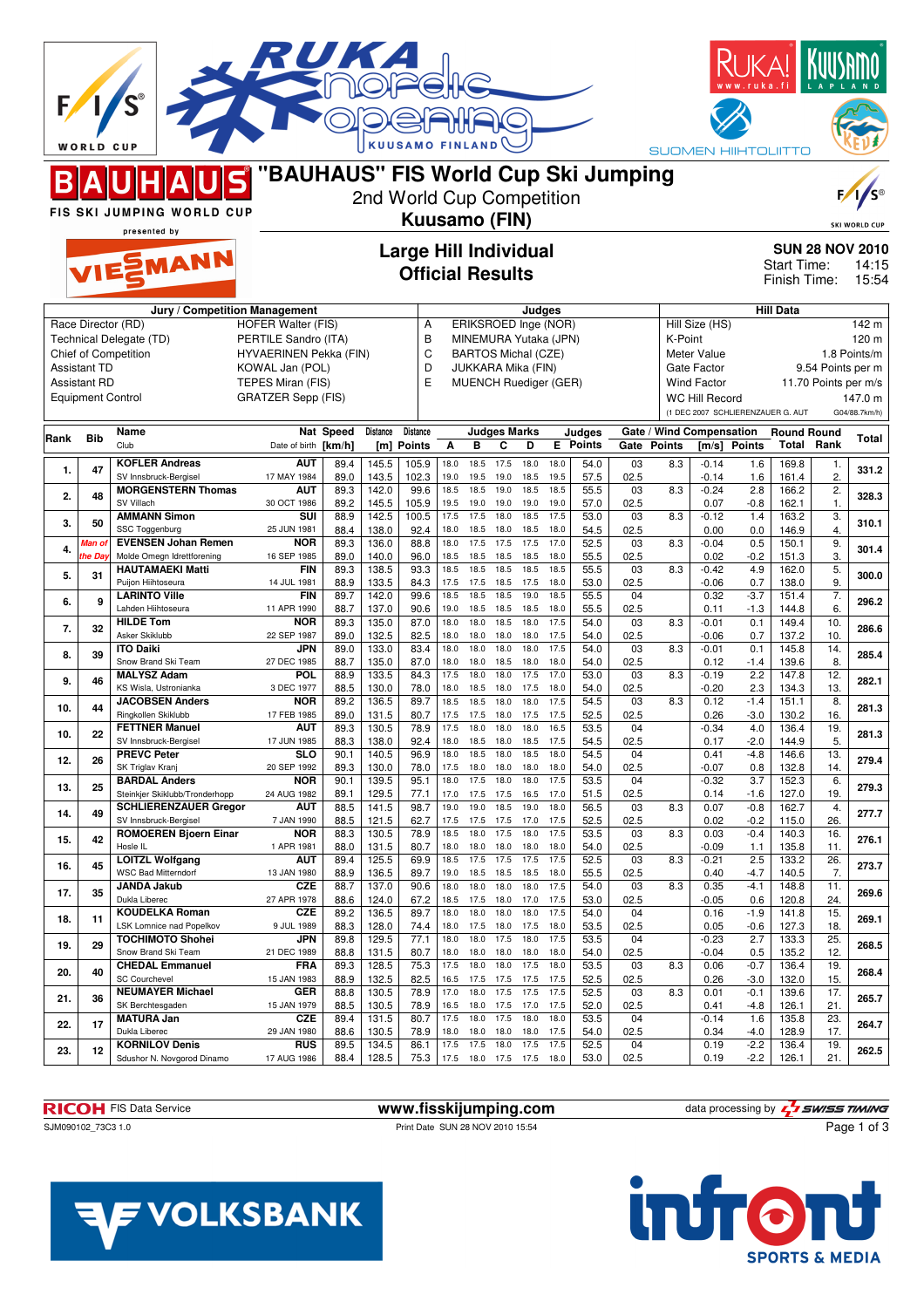|      | <b>WORLD CUP</b>         |                                                        |                                                            |              |                           | <b>KUUSAMO FINLAND</b>       |              |                                                  |                     |              |              |                 |            |                          |                            | <b>SUOMEN HIIHTOLIITTO</b>        |                             |                        |                          |
|------|--------------------------|--------------------------------------------------------|------------------------------------------------------------|--------------|---------------------------|------------------------------|--------------|--------------------------------------------------|---------------------|--------------|--------------|-----------------|------------|--------------------------|----------------------------|-----------------------------------|-----------------------------|------------------------|--------------------------|
|      |                          |                                                        | "BAUHAUS" FIS World Cup Ski Jumping                        |              | 2nd World Cup Competition |                              |              |                                                  |                     |              |              |                 |            |                          |                            |                                   |                             |                        |                          |
|      |                          | FIS SKI JUMPING WORLD CUP<br>presented by              |                                                            |              |                           | Kuusamo (FIN)                |              |                                                  |                     |              |              |                 |            |                          |                            |                                   |                             |                        | <b>SKI WORLD CUP</b>     |
|      |                          |                                                        |                                                            |              |                           | <b>Large Hill Individual</b> |              |                                                  |                     |              |              |                 |            |                          |                            |                                   |                             | <b>SUN 28 NOV 2010</b> |                          |
|      |                          | VIESMANN                                               |                                                            |              |                           | <b>Official Results</b>      |              |                                                  |                     |              |              |                 |            |                          |                            |                                   | Start Time:<br>Finish Time: |                        | 14:15<br>15:54           |
|      |                          | Race Director (RD)                                     | Jury / Competition Management<br><b>HOFER Walter (FIS)</b> |              |                           | Α                            |              | ERIKSROED Inge (NOR)                             |                     | Judges       |              |                 |            |                          | Hill Size (HS)             |                                   | <b>Hill Data</b>            |                        | 142 m                    |
|      |                          | Technical Delegate (TD)                                | PERTILE Sandro (ITA)                                       |              |                           | B                            |              | MINEMURA Yutaka (JPN)                            |                     |              |              |                 |            | K-Point                  |                            |                                   |                             |                        | 120 m                    |
|      | <b>Assistant TD</b>      | Chief of Competition                                   | HYVAERINEN Pekka (FIN)<br>KOWAL Jan (POL)                  |              |                           | C<br>D                       |              | <b>BARTOS Michal (CZE)</b><br>JUKKARA Mika (FIN) |                     |              |              |                 |            |                          | Meter Value<br>Gate Factor |                                   |                             | 9.54 Points per m      | 1.8 Points/m             |
|      | <b>Assistant RD</b>      |                                                        | TEPES Miran (FIS)                                          |              |                           | E                            |              | <b>MUENCH Ruediger (GER)</b>                     |                     |              |              |                 |            |                          | <b>Wind Factor</b>         |                                   |                             | 11.70 Points per m/s   |                          |
|      | <b>Equipment Control</b> |                                                        | <b>GRATZER Sepp (FIS)</b>                                  |              |                           |                              |              |                                                  |                     |              |              |                 |            |                          | WC Hill Record             | (1 DEC 2007 SCHLIERENZAUER G. AUT |                             |                        | 147.0 m<br>G04/88.7km/h) |
|      | <b>Bib</b>               | Name                                                   |                                                            | Nat Speed    | Distance                  | <b>Distance</b>              |              |                                                  | <b>Judges Marks</b> |              |              | Judges          |            | Gate / Wind Compensation |                            |                                   | <b>Round Round</b>          |                        |                          |
| Rank |                          | Club                                                   | Date of birth [km/h]                                       |              | [m]                       | <b>Points</b>                | Α            | в                                                | C                   | D            |              | <b>E</b> Points |            | Gate Points              |                            | [m/s] Points                      |                             | <b>Total Rank</b>      | Total                    |
| 1.   | 47                       | <b>KOFLER Andreas</b><br>SV Innsbruck-Bergisel         | AUT<br>17 MAY 1984                                         | 89.4<br>89.0 | 145.5<br>143.5            | 105.9<br>102.3               | 18.0<br>19.0 | 18.5<br>19.5                                     | 17.5<br>19.0        | 18.0<br>18.5 | 18.0<br>19.5 | 54.0<br>57.5    | 03<br>02.5 | 8.3                      | $-0.14$<br>$-0.14$         | 1.6<br>1.6                        | 169.8<br>161.4              | 1.<br>2.               | 331.2                    |
| 2.   | 48                       | <b>MORGENSTERN Thomas</b><br>SV Villach                | AUT<br>30 OCT 1986                                         | 89.3<br>89.2 | 142.0<br>145.5            | 99.6<br>105.9                | 18.5<br>19.5 | 18.5<br>19.0                                     | 19.0<br>19.0        | 18.5<br>19.0 | 18.5<br>19.0 | 55.5<br>57.0    | 03<br>02.5 | 8.3                      | $-0.24$<br>0.07            | 2.8<br>$-0.8$                     | 166.2<br>162.1              | 2.<br>1.               | 328.3                    |
| 3.   | 50                       | <b>AMMANN Simon</b><br>SSC Toggenburg                  | SUI<br>25 JUN 1981                                         | 88.9<br>88.4 | 142.5<br>138.0            | 100.5<br>92.4                | 17.5<br>18.0 | 17.5<br>18.5                                     | 18.0<br>18.0        | 18.5<br>18.5 | 17.5<br>18.0 | 53.0<br>54.5    | 03<br>02.5 | 8.3                      | $-0.12$<br>0.00            | 1.4<br>0.0                        | 163.2<br>146.9              | $\overline{3}$ .<br>4. | 310.1                    |
| 4.   | Vlan of                  | <b>EVENSEN Johan Remen</b>                             | NOR                                                        | 89.3         | 136.0                     | 88.8                         | 18.0         | 17.5                                             | 17.5                | 17.5         | 17.0         | 52.5            | 03         | 8.3                      | $-0.04$                    | 0.5                               | 150.1                       | 9.                     | 301.4                    |
| 5.   | he Day<br>31             | Molde Omegn Idrettforening<br><b>HAUTAMAEKI Matti</b>  | 16 SEP 1985<br><b>FIN</b>                                  | 89.0<br>89.3 | 140.0<br>138.5            | 96.0<br>93.3                 | 18.5<br>18.5 | 18.5<br>18.5                                     | 18.5<br>18.5        | 18.5<br>18.5 | 18.0<br>18.5 | 55.5<br>55.5    | 02.5<br>03 | 8.3                      | 0.02<br>$-0.42$            | $-0.2$<br>4.9                     | 151.3<br>162.0              | 3.<br>5.               | 300.0                    |
|      |                          | Puijon Hiihtoseura<br><b>LARINTO Ville</b>             | 14 JUL 1981<br>FIN                                         | 88.9<br>89.7 | 133.5<br>142.0            | 84.3<br>99.6                 | 17.5<br>18.5 | 17.5<br>18.5                                     | 18.5<br>18.5        | 17.5<br>19.0 | 18.0<br>18.5 | 53.0<br>55.5    | 02.5<br>04 |                          | $-0.06$<br>0.32            | 0.7<br>$-3.7$                     | 138.0<br>151.4              | 9.<br>$\overline{7}$ . |                          |
| 6.   | 9                        | Lahden Hiihtoseura                                     | 11 APR 1990                                                | 88.7<br>89.3 | 137.0                     | 90.6<br>87.0                 | 19.0         | 18.5                                             | 18.5                | 18.5         | 18.0         | 55.5<br>54.0    | 02.5       |                          | 0.11                       | $-1.3$                            | 144.8                       | 6.                     | 296.2                    |
| 7.   | 32                       | <b>HILDE Tom</b><br>Asker Skiklubb                     | <b>NOR</b><br>22 SEP 1987                                  | 89.0         | 135.0<br>132.5            | 82.5                         | 18.0<br>18.0 | 18.0<br>18.0                                     | 18.5<br>18.0        | 18.0<br>18.0 | 17.5<br>17.5 | 54.0            | 03<br>02.5 | 8.3                      | $-0.01$<br>$-0.06$         | 0.1<br>0.7                        | 149.4<br>137.2              | 10.<br>10.             | 286.6                    |
| 8.   | 39                       | <b>ITO Daiki</b><br>Snow Brand Ski Team                | JPN<br>27 DEC 1985                                         | 89.0<br>88.7 | 133.0<br>135.0            | 83.4<br>87.0                 | 18.0<br>18.0 | 18.0<br>18.0                                     | 18.0<br>18.5        | 18.0<br>18.0 | 17.5<br>18.0 | 54.0<br>54.0    | 03<br>02.5 | 8.3                      | $-0.01$<br>0.12            | 0.1<br>$-1.4$                     | 145.8<br>139.6              | 14.<br>8.              | 285.4                    |
| 9.   | 46                       | <b>MALYSZ Adam</b><br>KS Wisla, Ustronianka            | <b>POL</b><br>3 DEC 1977                                   | 88.9<br>88.5 | 133.5<br>130.0            | 84.3<br>78.0                 | 17.5<br>18.0 | 18.0<br>18.5                                     | 18.0<br>18.0        | 17.5<br>17.5 | 17.0<br>18.0 | 53.0<br>54.0    | 03<br>02.5 | 8.3                      | $-0.19$<br>$-0.20$         | 2.2<br>2.3                        | 147.8<br>134.3              | 12.<br>13.             | 282.1                    |
| 10.  | 44                       | <b>JACOBSEN Anders</b>                                 | NOR                                                        | 89.2         | 136.5                     | 89.7                         | 18.5         | 18.5                                             | 18.0                | 18.0         | 17.5         | 54.5            | 03         | 8.3                      | 0.12                       | $-1.4$                            | 151.1                       | 8.                     | 281.3                    |
|      |                          | Ringkollen Skiklubb<br><b>FETTNER Manuel</b>           | 17 FEB 1985<br>AUT                                         | 89.0<br>89.3 | 131.5<br>130.5            | 80.7<br>78.9                 | 17.5<br>17.5 | 17.5<br>18.0                                     | 18.0<br>18.0        | 17.5<br>18.0 | 17.5<br>16.5 | 52.5<br>53.5    | 02.5<br>04 |                          | 0.26<br>$-0.34$            | $-3.0$<br>4.0                     | 130.2<br>136.4              | 16.<br>19.             |                          |
| 10.  | 22                       | SV Innsbruck-Bergisel<br><b>PREVC Peter</b>            | 17 JUN 1985<br><b>SLO</b>                                  | 88.3<br>90.1 | 138.0<br>140.5            | 92.4<br>96.9                 | 18.0<br>18.0 | 18.5<br>18.5                                     | 18.0<br>18.0        | 18.5<br>18.5 | 17.5<br>18.0 | 54.5<br>54.5    | 02.5<br>04 |                          | 0.17<br>0.41               | $-2.0$<br>$-4.8$                  | 144.9<br>146.6              | 5.<br>13.              | 281.3                    |
| 12.  | 26                       | SK Triglav Kranj                                       | 20 SEP 1992                                                | 89.3         | 130.0                     | 78.0                         | 17.5         | 18.0                                             | 18.0                | 18.0         | 18.0         | 54.0            | 02.5       |                          | $-0.07$                    | 0.8                               | 132.8                       | 14.                    | 279.4                    |
| 13.  | 25                       | <b>BARDAL Anders</b><br>Steinkjer Skiklubb/Tronderhopp | <b>NOR</b><br>24 AUG 1982                                  | 90.1<br>89.1 | 139.5<br>129.5            | 95.1<br>77.1                 | 18.0<br>17.0 | 17.5<br>17.5                                     | 18.0<br>17.5        | 18.0<br>16.5 | 17.5<br>17.0 | 53.5<br>51.5    | 04<br>02.5 |                          | $-0.32$<br>0.14            | 3.7<br>-1.6                       | 152.3<br>127.0              | 6.<br>19.              | 279.3                    |
| 14.  | 49                       | <b>SCHLIERENZAUER Gregor</b><br>SV Innsbruck-Bergisel  | AUT<br>7 JAN 1990                                          | 88.5<br>88.5 | 141.5<br>121.5            | 98.7<br>62.7                 | 19.0<br>17.5 | 19.0<br>17.5 17.5                                | 18.5                | 19.0<br>17.0 | 18.0<br>17.5 | 56.5<br>52.5    | 03<br>02.5 | 8.3                      | 0.07<br>0.02               | $-0.8$<br>$-0.2$                  | 162.7<br>115.0              | 4.<br>26.              | 277.7                    |
| 15.  | 42                       | <b>ROMOEREN Bjoern Einar</b><br>Hosle IL               | <b>NOR</b><br>1 APR 1981                                   | 88.3<br>88.0 | 130.5<br>131.5            | 78.9<br>80.7                 | 18.5<br>18.0 | 18.0<br>18.0 18.0                                | 17.5                | 18.0<br>18.0 | 17.5<br>18.0 | 53.5<br>54.0    | 03<br>02.5 | 8.3                      | 0.03<br>$-0.09$            | $-0.4$<br>1.1                     | 140.3<br>135.8              | 16.<br>11.             | 276.1                    |
| 16.  | 45                       | <b>LOITZL Wolfgang</b>                                 | AUT                                                        | 89.4         | 125.5                     | 69.9                         | 18.5         | 17.5                                             | 17.5                | 17.5         | 17.5         | 52.5            | 03         | 8.3                      | $-0.21$                    | 2.5                               | 133.2                       | 26.                    | 273.7                    |
| 17.  | 35                       | <b>WSC Bad Mitterndorf</b><br><b>JANDA Jakub</b>       | 13 JAN 1980<br>CZE                                         | 88.9<br>88.7 | 136.5<br>137.0            | 89.7<br>90.6                 | 19.0<br>18.0 | 18.5<br>18.0                                     | 18.5<br>18.0        | 18.5<br>18.0 | 18.0<br>17.5 | 55.5<br>54.0    | 02.5<br>03 | 8.3                      | 0.40<br>0.35               | $-4.7$<br>$-4.1$                  | 140.5<br>148.8              | 7.<br>11.              | 269.6                    |
|      |                          | Dukla Liberec<br><b>KOUDELKA Roman</b>                 | 27 APR 1978<br>CZE                                         | 88.6<br>89.2 | 124.0<br>136.5            | 67.2<br>89.7                 | 18.5<br>18.0 | 17.5<br>18.0                                     | 18.0<br>18.0        | 17.0<br>18.0 | 17.5<br>17.5 | 53.0<br>54.0    | 02.5<br>04 |                          | $-0.05$<br>0.16            | 0.6<br>$-1.9$                     | 120.8<br>141.8              | 24.<br>15.             |                          |
| 18.  | 11                       | LSK Lomnice nad Popelkov<br><b>TOCHIMOTO Shohei</b>    | 9 JUL 1989<br>JPN                                          | 88.3<br>89.8 | 128.0<br>129.5            | 74.4<br>77.1                 | 18.0<br>18.0 | 17.5<br>18.0                                     | 18.0<br>17.5        | 17.5<br>18.0 | 18.0<br>17.5 | 53.5<br>53.5    | 02.5<br>04 |                          | 0.05<br>$-0.23$            | $-0.6$<br>2.7                     | 127.3<br>133.3              | 18.<br>25.             | 269.1                    |
| 19.  | 29                       | Snow Brand Ski Team                                    | 21 DEC 1989                                                | 88.8         | 131.5                     | 80.7                         | 18.0         | 18.0                                             | 18.0                | 18.0         | 18.0         | 54.0            | 02.5       |                          | $-0.04$                    | 0.5                               | 135.2                       | 12.                    | 268.5                    |
| 20.  | 40                       | <b>CHEDAL Emmanuel</b><br><b>SC Courchevel</b>         | <b>FRA</b><br>15 JAN 1983                                  | 89.3<br>88.9 | 128.5<br>132.5            | 75.3<br>82.5                 | 17.5<br>16.5 | 18.0<br>17.5 17.5                                | 18.0                | 17.5<br>17.5 | 18.0<br>17.5 | 53.5<br>52.5    | 03<br>02.5 | 8.3                      | 0.06<br>0.26               | $-0.7$<br>$-3.0$                  | 136.4<br>132.0              | 19.<br>15.             | 268.4                    |
| 21.  | 36                       | <b>NEUMAYER Michael</b><br>SK Berchtesgaden            | GER<br>15 JAN 1979                                         | 88.8<br>88.5 | 130.5<br>130.5            | 78.9<br>78.9                 | 17.0<br>16.5 | 18.0<br>18.0                                     | 17.5<br>17.5        | 17.5<br>17.0 | 17.5<br>17.5 | 52.5<br>52.0    | 03<br>02.5 | 8.3                      | 0.01<br>0.41               | $-0.1$<br>-4.8                    | 139.6<br>126.1              | 17.<br>21.             | 265.7                    |
| 22.  | 17                       | <b>MATURA Jan</b>                                      | CZE                                                        | 89.4         | 131.5                     | 80.7                         | 17.5         | 18.0                                             | 17.5                | 18.0         | 18.0         | 53.5            | 04         |                          | $-0.14$                    | 1.6                               | 135.8                       | 23.                    | 264.7                    |
| 23.  | 12                       | Dukla Liberec<br><b>KORNILOV Denis</b>                 | 29 JAN 1980<br><b>RUS</b>                                  | 88.6<br>89.5 | 130.5<br>134.5            | 78.9<br>86.1                 | 18.0<br>17.5 | 18.0<br>17.5                                     | 18.0<br>18.0        | 18.0<br>17.5 | 17.5<br>17.5 | 54.0<br>52.5    | 02.5<br>04 |                          | 0.34<br>0.19               | -4.0<br>$-2.2$                    | 128.9<br>136.4              | 17.<br>19.             | 262.5                    |
|      |                          | Sdushor N. Novgorod Dinamo                             | 17 AUG 1986                                                | 88.4         | 128.5                     | 75.3                         | 17.5         | 18.0                                             | 17.5                | 17.5         | 18.0         | 53.0            | 02.5       |                          | 0.19                       | $-2.2$                            | 126.1                       | 21.                    |                          |

SJM090102\_73C3 1.0 Print Date SUN 28 NOV 2010 15:54



Page 1 of 3



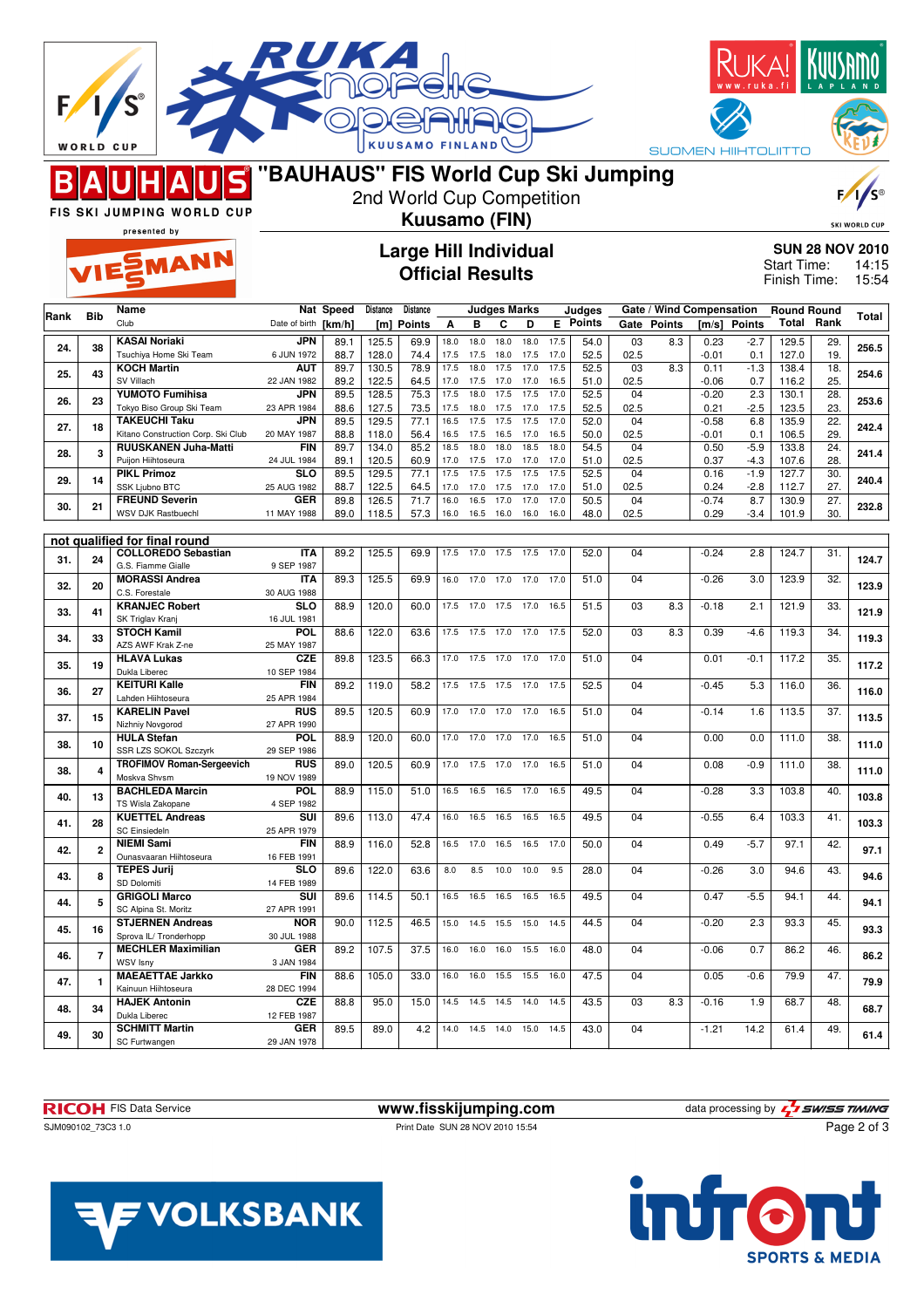|      | WORLD CUP    |                                                            |                                     |                     |                           | <b>KUUSAMO</b>                                          | FI           |                              |                          |                |              |                           |            |             | <b>SUOMEN HIIHTOLIITTO</b>        |                  |                             |            |                                          |
|------|--------------|------------------------------------------------------------|-------------------------------------|---------------------|---------------------------|---------------------------------------------------------|--------------|------------------------------|--------------------------|----------------|--------------|---------------------------|------------|-------------|-----------------------------------|------------------|-----------------------------|------------|------------------------------------------|
|      |              |                                                            | "BAUHAUS" FIS World Cup Ski Jumping |                     | 2nd World Cup Competition |                                                         |              |                              |                          |                |              |                           |            |             |                                   |                  |                             |            |                                          |
|      |              | FIS SKI JUMPING WORLD CUP<br>presented by                  | Kuusamo (FIN)                       |                     |                           |                                                         |              |                              |                          |                |              |                           |            |             |                                   |                  |                             |            | <b>SKI WORLD CUP</b>                     |
|      |              | VIESMANN                                                   |                                     |                     |                           | <b>Large Hill Individual</b><br><b>Official Results</b> |              |                              |                          |                |              |                           |            |             |                                   |                  | Start Time:<br>Finish Time: |            | <b>SUN 28 NOV 2010</b><br>14:15<br>15:54 |
| Rank | <b>Bib</b>   | Name<br>Club                                               | Date of birth                       | Nat Speed<br>[km/h] | Distance<br>[m]           | <b>Distance</b><br>Points                               | A            | в                            | <b>Judges Marks</b><br>С | D              |              | Judges<br><b>E</b> Points |            | Gate Points | Gate / Wind Compensation<br>[m/s] | <b>Points</b>    | <b>Round Round</b><br>Total | Rank       | Total                                    |
| 24.  | 38           | <b>KASAI Noriaki</b><br>Tsuchiya Home Ski Team             | JPN<br>6 JUN 1972                   | 89.1<br>88.7        | 125.5<br>128.0            | 69.9<br>74.4                                            | 18.0<br>17.5 | 18.0<br>17.5                 | 18.0<br>18.0             | 18.0<br>17.5   | 17.5<br>17.0 | 54.0<br>52.5              | 03<br>02.5 | 8.3         | 0.23<br>$-0.01$                   | $-2.7$<br>0.1    | 129.5<br>127.0              | 29.<br>19. | 256.5                                    |
| 25.  | 43           | <b>KOCH Martin</b><br>SV Villach                           | AUT<br>22 JAN 1982                  | 89.7<br>89.2        | 130.5<br>122.5            | 78.9<br>64.5                                            | 17.5<br>17.0 | 18.0<br>17.5                 | 17.5<br>17.0             | 17.0<br>17.0   | 17.5<br>16.5 | 52.5<br>51.0              | 03<br>02.5 | 8.3         | 0.11<br>$-0.06$                   | $-1.3$<br>0.7    | 138.4<br>116.2              | 18.<br>25. | 254.6                                    |
| 26.  | 23           | <b>YUMOTO Fumihisa</b><br>Tokyo Biso Group Ski Team        | JPN<br>23 APR 1984                  | 89.5<br>88.6        | 128.5<br>127.5            | 75.3<br>73.5                                            | 17.5<br>17.5 | 18.0<br>18.0                 | 17.5<br>17.5             | 17.5<br>17.0   | 17.0<br>17.5 | 52.5<br>52.5              | 04<br>02.5 |             | $-0.20$<br>0.21                   | 2.3<br>$-2.5$    | 130.1<br>123.5              | 28.<br>23. | 253.6                                    |
| 27.  | 18           | <b>TAKEUCHI Taku</b><br>Kitano Construction Corp. Ski Club | JPN<br>20 MAY 1987                  | 89.5<br>88.8        | 129.5<br>118.0            | 77.1<br>56.4                                            | 16.5<br>16.5 | 17.5<br>17.5                 | 17.5<br>16.5             | 17.5<br>17.0   | 17.0<br>16.5 | 52.0<br>50.0              | 04<br>02.5 |             | $-0.58$<br>$-0.01$                | 6.8<br>0.1       | 135.9<br>106.5              | 22.<br>29. | 242.4                                    |
| 28.  | 3            | <b>RUUSKANEN Juha-Matti</b><br>Puijon Hiihtoseura          | <b>FIN</b><br>24 JUL 1984           | 89.7<br>89.1        | 134.0<br>120.5            | 85.2<br>60.9                                            | 18.5<br>17.0 | 18.0<br>17.5                 | 18.0<br>17.0             | 18.5<br>17.0   | 18.0<br>17.0 | 54.5<br>51.0              | 04<br>02.5 |             | 0.50<br>0.37                      | $-5.9$<br>-4.3   | 133.8<br>107.6              | 24.<br>28. | 241.4                                    |
| 29.  | 14           | <b>PIKL Primoz</b><br>SSK Ljubno BTC                       | <b>SLO</b><br>25 AUG 1982           | 89.5<br>88.7        | 129.5<br>122.5            | 77.1<br>64.5                                            | 17.5<br>17.0 | 17.5<br>17.0                 | 17.5<br>17.5             | 17.5<br>17.0   | 17.5<br>17.0 | 52.5<br>51.0              | 04<br>02.5 |             | 0.16<br>0.24                      | $-1.9$<br>$-2.8$ | 127.7<br>112.7              | 30.<br>27. | 240.4                                    |
| 30.  | 21           | <b>FREUND Severin</b><br><b>WSV DJK Rastbuechl</b>         | <b>GER</b><br>11 MAY 1988           | 89.8<br>89.0        | 126.5<br>118.5            | 71.7<br>57.3                                            | 16.0<br>16.0 | 16.5<br>16.5                 | 17.0<br>16.0             | 17.0<br>16.0   | 17.0<br>16.0 | 50.5<br>48.0              | 04<br>02.5 |             | $-0.74$<br>0.29                   | 8.7<br>$-3.4$    | 130.9<br>101.9              | 27.<br>30. | 232.8                                    |
|      |              | not qualified for final round                              |                                     |                     |                           |                                                         |              |                              |                          |                |              |                           |            |             |                                   |                  |                             |            |                                          |
| 31.  | 24           | <b>COLLOREDO Sebastian</b><br>G.S. Fiamme Gialle           | <b>ITA</b><br>9 SEP 1987            | 89.2                | 125.5                     | 69.9                                                    | 17.5         | 17.0                         | 17.5                     | 17.5           | 17.0         | 52.0                      | 04         |             | $-0.24$                           | 2.8              | 124.7                       | 31.        | 124.7                                    |
| 32.  | 20           | <b>MORASSI Andrea</b><br>C.S. Forestale                    | <b>ITA</b><br>30 AUG 1988           | 89.3                | 125.5                     | 69.9                                                    | 16.0         | 17.0                         | 17.0                     | 17.0           | 17.0         | 51.0                      | 04         |             | $-0.26$                           | 3.0              | 123.9                       | 32.        | 123.9                                    |
| 33.  | 41           | <b>KRANJEC Robert</b><br>SK Triglav Kranj                  | <b>SLO</b><br>16 JUL 1981           | 88.9                | 120.0                     | 60.0                                                    | 17.5         | 17.0                         | 17.5                     | 17.0           | 16.5         | 51.5                      | 03         | 8.3         | $-0.18$                           | 2.1              | 121.9                       | 33.        | 121.9                                    |
| 34.  | 33           | <b>STOCH Kamil</b><br>AZS AWF Krak Z-ne                    | POL<br>25 MAY 1987                  | 88.6                | 122.0                     | 63.6                                                    | 17.5         | 17.5                         | 17.0                     | 17.0           | 17.5         | 52.0                      | 03         | 8.3         | 0.39                              | $-4.6$           | 119.3                       | 34.        | 119.3                                    |
| 35.  | 19           | <b>HLAVA Lukas</b><br>Dukla Liberec                        | <b>CZE</b><br>10 SEP 1984           | 89.8                | 123.5                     | 66.3                                                    | 17.0         | 17.5                         | 17.0                     | 17.0           | 17.0         | 51.0                      | 04         |             | 0.01                              | $-0.1$           | 117.2                       | 35.        | 117.2                                    |
| 36.  | 27           | <b>KEITURI Kalle</b>                                       | <b>FIN</b>                          | 89.2                | 119.0                     | 58.2                                                    | 17.5         | 17.5                         | 17.5                     | 17.0           | 17.5         | 52.5                      | 04         |             | $-0.45$                           | 5.3              | 116.0                       | 36.        | 116.0                                    |
| 37.  | 15           | Lahden Hiihtoseura<br><b>KARELIN Pavel</b>                 | 25 APR 1984<br><b>RUS</b>           | 89.5                | 120.5                     | 60.9                                                    | 17.0         | 17.0                         | 17.0                     | 17.0           | 16.5         | 51.0                      | 04         |             | $-0.14$                           | 1.6              | 113.5                       | 37.        | 113.5                                    |
| 38.  | 10           | Nizhniy Novgorod<br><b>HULA Stefan</b>                     | 27 APR 1990<br><b>POL</b>           | 88.9                | 120.0                     | 60.0                                                    | 17.0         | 17.0 17.0 17.0               |                          |                | 16.5         | 51.0                      | 04         |             | 0.00                              | 0.0              | 111.0                       | 38.        | 111.0                                    |
| 38.  | 4            | SSR LZS SOKOL Szczyrk<br><b>TROFIMOV Roman-Sergeevich</b>  | 29 SEP 1986<br><b>RUS</b>           | 89.0                | 120.5                     | 60.9                                                    | 17.0         |                              | 17.5 17.0 17.0           |                | 16.5         | 51.0                      | 04         |             | 0.08                              | $-0.9$           | 111.0                       | 38.        | 111.0                                    |
| 40.  | 13           | Moskva Shvsm<br><b>BACHLEDA Marcin</b>                     | 19 NOV 1989<br><b>POL</b>           | 88.9                | 115.0                     | 51.0                                                    | 16.5         |                              | 16.5 16.5 17.0           |                | 16.5         | 49.5                      | 04         |             | $-0.28$                           | 3.3              | 103.8                       | 40.        | 103.8                                    |
| 41.  | 28           | TS Wisla Zakopane<br><b>KUETTEL Andreas</b>                | 4 SEP 1982<br>SUI                   | 89.6                | 113.0                     | 47.4                                                    | 16.0         |                              | 16.5 16.5 16.5           |                | 16.5         | 49.5                      | 04         |             | $-0.55$                           | 6.4              | 103.3                       | 41.        | 103.3                                    |
| 42.  | $\mathbf{2}$ | <b>SC Einsiedeln</b><br><b>NIEMI Sami</b>                  | 25 APR 1979<br><b>FIN</b>           | 88.9                | 116.0                     | 52.8                                                    | 16.5         | 17.0 16.5 16.5               |                          |                | 17.0         | 50.0                      | 04         |             | 0.49                              | $-5.7$           | 97.1                        | 42.        | 97.1                                     |
| 43.  | 8            | Ounasvaaran Hiihtoseura<br><b>TEPES Jurij</b>              | 16 FEB 1991<br><b>SLO</b>           | 89.6                | 122.0                     | 63.6                                                    | 8.0          | 8.5                          | 10.0                     | 10.0           | 9.5          | 28.0                      | 04         |             | $-0.26$                           | 3.0              | 94.6                        | 43.        | 94.6                                     |
| 44.  | 5            | SD Dolomiti<br><b>GRIGOLI Marco</b>                        | 14 FEB 1989<br>SUI                  | 89.6                | 114.5                     | 50.1                                                    | 16.5         | 16.5                         | 16.5                     | 16.5           | 16.5         | 49.5                      | 04         |             | 0.47                              | $-5.5$           | 94.1                        | 44.        | 94.1                                     |
| 45.  | 16           | SC Alpina St. Moritz<br><b>STJERNEN Andreas</b>            | 27 APR 1991<br>NOR                  | 90.0                | 112.5                     | 46.5                                                    | 15.0         | 14.5                         | 15.5                     | 15.0           | 14.5         | 44.5                      | 04         |             | $-0.20$                           | 2.3              | 93.3                        | 45.        | 93.3                                     |
| 46.  | 7            | Sprova IL/ Tronderhopp<br><b>MECHLER Maximilian</b>        | 30 JUL 1988<br>GER                  | 89.2                | 107.5                     | 37.5                                                    | 16.0         | 16.0                         | 16.0                     | 15.5           | 16.0         | 48.0                      | 04         |             | $-0.06$                           | 0.7              | 86.2                        | 46.        | 86.2                                     |
|      |              | WSV Isny<br><b>MAEAETTAE Jarkko</b>                        | 3 JAN 1984<br>FIN                   | 88.6                | 105.0                     | 33.0                                                    | 16.0         |                              | 16.0 15.5 15.5           |                | 16.0         | 47.5                      | 04         |             | 0.05                              | $-0.6$           | 79.9                        | 47.        |                                          |
| 47.  | 1            | Kainuun Hiihtoseura<br><b>HAJEK Antonin</b>                | 28 DEC 1994<br><b>CZE</b>           | 88.8                | 95.0                      | 15.0                                                    |              | 14.5  14.5  14.5  14.0  14.5 |                          |                |              | 43.5                      | 03         | 8.3         | $-0.16$                           | 1.9              | 68.7                        | 48.        | 79.9                                     |
| 48.  | 34           | Dukla Liberec<br><b>SCHMITT Martin</b>                     | 12 FEB 1987<br><b>GER</b>           | 89.5                | 89.0                      | 4.2                                                     | 14.0         |                              |                          | 14.5 14.0 15.0 | 14.5         | 43.0                      | 04         |             | $-1.21$                           | 14.2             | 61.4                        | 49.        | 68.7                                     |
| 49.  | 30           | SC Furtwangen                                              | 29 JAN 1978                         |                     |                           |                                                         |              |                              |                          |                |              |                           |            |             |                                   |                  |                             |            | 61.4                                     |

SJM090102\_73C3 1.0 Print Date SUN 28 NOV 2010 15:54

**RICOH** FIS Data Service **www.fisskijumping.com** data processing by  $\frac{7}{2}$  **swiss TIMING** 

Page 2 of 3